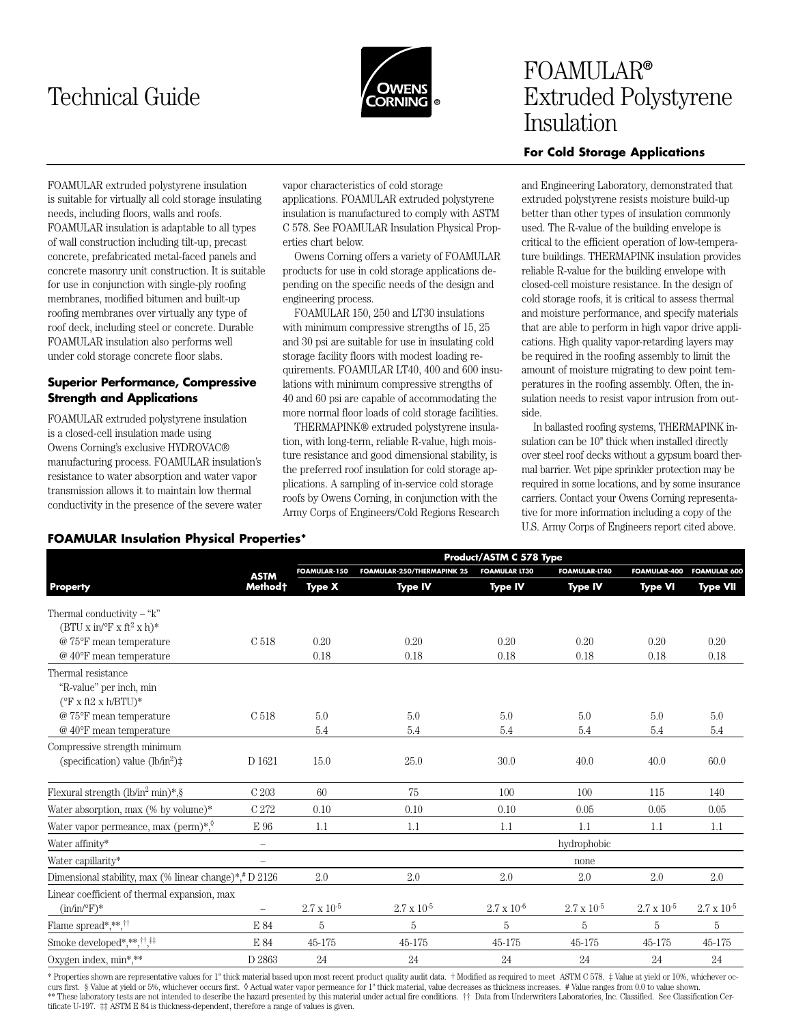# Technical Guide



# FOAMULAR**®** Extruded Polystyrene Insulation

# **For Cold Storage Applications**

FOAMULAR extruded polystyrene insulation is suitable for virtually all cold storage insulating needs, including floors, walls and roofs. FOAMULAR insulation is adaptable to all types of wall construction including tilt-up, precast concrete, prefabricated metal-faced panels and concrete masonry unit construction. It is suitable for use in conjunction with single-ply roofing membranes, modified bitumen and built-up roofing membranes over virtually any type of roof deck, including steel or concrete. Durable FOAMULAR insulation also performs well under cold storage concrete floor slabs.

# **Superior Performance, Compressive Strength and Applications**

FOAMULAR extruded polystyrene insulation is a closed-cell insulation made using Owens Corning's exclusive HYDROVAC® manufacturing process. FOAMULAR insulation's resistance to water absorption and water vapor transmission allows it to maintain low thermal conductivity in the presence of the severe water vapor characteristics of cold storage applications. FOAMULAR extruded polystyrene insulation is manufactured to comply with ASTM C 578. See FOAMULAR Insulation Physical Properties chart below.

Owens Corning offers a variety of FOAMULAR products for use in cold storage applications depending on the specific needs of the design and engineering process.

FOAMULAR 150, 250 and LT30 insulations with minimum compressive strengths of 15, 25 and 30 psi are suitable for use in insulating cold storage facility floors with modest loading requirements. FOAMULAR LT40, 400 and 600 insulations with minimum compressive strengths of 40 and 60 psi are capable of accommodating the more normal floor loads of cold storage facilities.

THERMAPINK® extruded polystyrene insulation, with long-term, reliable R-value, high moisture resistance and good dimensional stability, is the preferred roof insulation for cold storage applications. A sampling of in-service cold storage roofs by Owens Corning, in conjunction with the Army Corps of Engineers/Cold Regions Research and Engineering Laboratory, demonstrated that extruded polystyrene resists moisture build-up better than other types of insulation commonly used. The R-value of the building envelope is critical to the efficient operation of low-temperature buildings. THERMAPINK insulation provides reliable R-value for the building envelope with closed-cell moisture resistance. In the design of cold storage roofs, it is critical to assess thermal and moisture performance, and specify materials that are able to perform in high vapor drive applications. High quality vapor-retarding layers may be required in the roofing assembly to limit the amount of moisture migrating to dew point temperatures in the roofing assembly. Often, the insulation needs to resist vapor intrusion from outside.

In ballasted roofing systems, THERMAPINK insulation can be 10" thick when installed directly over steel roof decks without a gypsum board thermal barrier. Wet pipe sprinkler protection may be required in some locations, and by some insurance carriers. Contact your Owens Corning representative for more information including a copy of the U.S. Army Corps of Engineers report cited above.

#### **FOAMULAR Insulation Physical Properties\***

|                                                                                |                          |                      | Product/ASTM C 578 Type           |                      |                      |                      |                      |  |
|--------------------------------------------------------------------------------|--------------------------|----------------------|-----------------------------------|----------------------|----------------------|----------------------|----------------------|--|
|                                                                                | <b>ASTM</b>              | <b>FOAMULAR-150</b>  | <b>FOAMULAR-250/THERMAPINK 25</b> | <b>FOAMULAR LT30</b> | <b>FOAMULAR-IT40</b> | FOAMULAR-400         | <b>FOAMULAR 600</b>  |  |
| <b>Property</b>                                                                | Method t                 | <b>Type X</b>        | <b>Type IV</b>                    | <b>Type IV</b>       | <b>Type IV</b>       | <b>Type VI</b>       | <b>Type VII</b>      |  |
| Thermal conductivity $-$ "k"<br>$(BTU x in/P x ft^2 x h)^*$                    |                          |                      |                                   |                      |                      |                      |                      |  |
| @ 75°F mean temperature                                                        | C 518                    | 0.20                 | 0.20                              | 0.20                 | 0.20                 | 0.20                 | 0.20                 |  |
| $@$ 40°F mean temperature                                                      |                          | 0.18                 | 0.18                              | 0.18                 | 0.18                 | 0.18                 | 0.18                 |  |
| Thermal resistance<br>"R-value" per inch, min<br>$(^{\circ}$ F x ft2 x h/BTU)* |                          |                      |                                   |                      |                      |                      |                      |  |
| @ 75°F mean temperature                                                        | C 518                    | 5.0                  | 5.0                               | 5.0                  | 5.0                  | 5.0                  | 5.0                  |  |
| $@$ 40°F mean temperature                                                      |                          | 5.4                  | 5.4                               | 5.4                  | 5.4                  | 5.4                  | $5.4\,$              |  |
| Compressive strength minimum<br>(specification) value $(lb/in^2)$ :            | D 1621                   | 15.0                 | 25.0                              | 30.0                 | 40.0                 | 40.0                 | 60.0                 |  |
| Flexural strength $(lb/in^2 min)*$ , §                                         | C 203                    | 60                   | 75                                | 100                  | 100                  | 115                  | 140                  |  |
| Water absorption, max (% by volume)*                                           | C 272                    | 0.10                 | 0.10                              | 0.10                 | 0.05                 | 0.05                 | 0.05                 |  |
| Water vapor permeance, max (perm)*, $\sqrt[6]{ }$                              | $\to$ 96                 | 1.1                  | 1.1                               | 1.1                  | 1.1                  | 1.1                  | 1.1                  |  |
| Water affinity*                                                                | $\overline{\phantom{m}}$ |                      |                                   |                      | hydrophobic          |                      |                      |  |
| Water capillarity*                                                             | $\overline{\phantom{0}}$ |                      |                                   |                      | none                 |                      |                      |  |
| Dimensional stability, max (% linear change)*,# D 2126                         |                          | $2.0\,$              | 2.0                               | $2.0\,$              | 2.0                  | 2.0                  | $2.0\,$              |  |
| Linear coefficient of thermal expansion, max<br>$(in/in/{}^{\circ}F)*$         | $\overline{\phantom{m}}$ | $2.7 \times 10^{-5}$ | $2.7 \times 10^{-5}$              | $2.7 \times 10^{-6}$ | $2.7 \times 10^{-5}$ | $2.7 \times 10^{-5}$ | $2.7 \times 10^{-5}$ |  |
| Flame spread*,**, $^{\dagger\dagger}$                                          | E 84                     | 5                    | 5                                 | 5                    | 5                    | 5                    | 5                    |  |
| Smoke developed*,**,##                                                         | E 84                     | 45-175               | 45-175                            | 45-175               | 45-175               | 45-175               | 45-175               |  |
| Oxygen index, min*,**                                                          | D 2863                   | 24                   | 24                                | 24                   | 24                   | 24                   | 24                   |  |
|                                                                                |                          |                      |                                   |                      |                      |                      |                      |  |

\* Properties shown are representative values for 1" thick material based upon most recent product quality audit data. † Modified as required to meet ASTM C 578. ‡ Value at yield or 10%, whichever occurs first. § Value at yield or 5%, whichever occurs first. ◊ Actual water vapor permeance for 1" thick material, value decreases as thickness increases. # Value ranges from 0.0 to value shown. \*\* These laboratory tests are not intended to describe the hazard presented by this material under actual fire conditions.  $\dagger\dagger$  Data from Underwriters Laboratories, Inc. Classified. See Classification Certificate U-197. ‡‡ ASTM E 84 is thickness-dependent, therefore a range of values is given.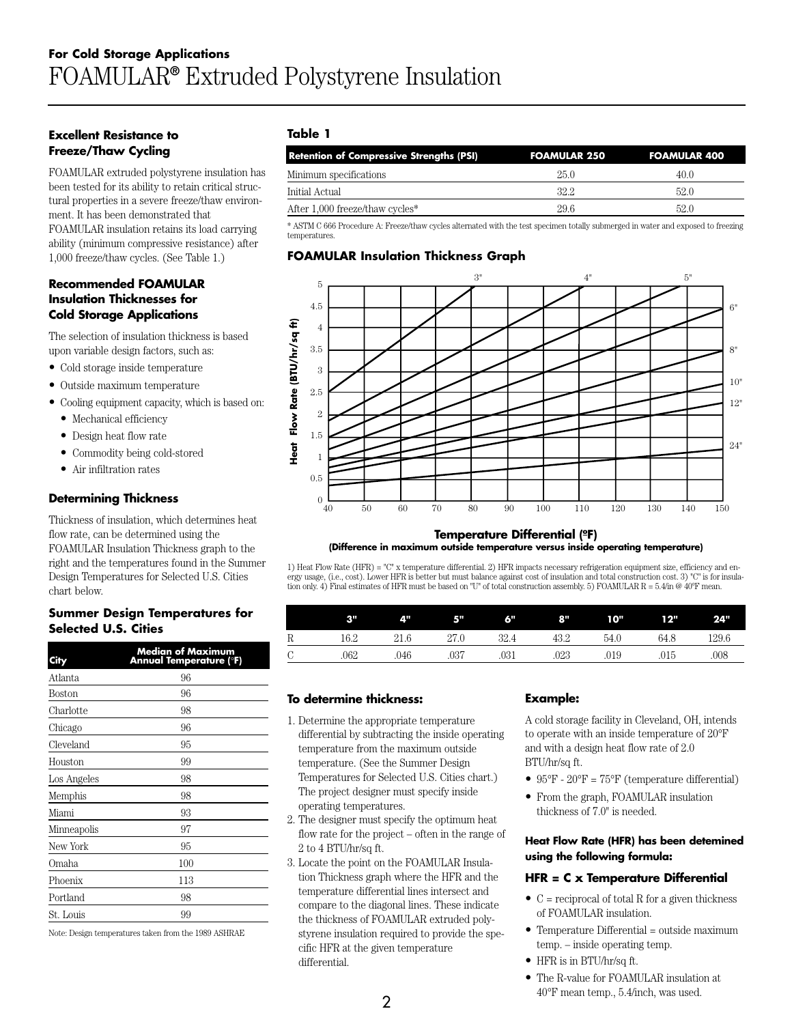#### **Excellent Resistance to Freeze/Thaw Cycling**

FOAMULAR extruded polystyrene insulation has been tested for its ability to retain critical structural properties in a severe freeze/thaw environment. It has been demonstrated that FOAMULAR insulation retains its load carrying ability (minimum compressive resistance) after 1,000 freeze/thaw cycles. (See Table 1.)

# **Recommended FOAMULAR Insulation Thicknesses for Cold Storage Applications**

The selection of insulation thickness is based upon variable design factors, such as:

- Cold storage inside temperature
- Outside maximum temperature
- Cooling equipment capacity, which is based on:
	- Mechanical efficiency
	- Design heat flow rate
	- Commodity being cold-stored
	- Air infiltration rates

# **Determining Thickness**

Thickness of insulation, which determines heat flow rate, can be determined using the FOAMULAR Insulation Thickness graph to the right and the temperatures found in the Summer Design Temperatures for Selected U.S. Cities chart below.

#### **Summer Design Temperatures for Selected U.S. Cities**

| City        | <b>Median of Maximum</b><br><b>Annual Temperature (°F)</b> |
|-------------|------------------------------------------------------------|
| Atlanta     | 96                                                         |
| Boston      | 96                                                         |
| Charlotte   | 98                                                         |
| Chicago     | 96                                                         |
| Cleveland   | 95                                                         |
| Houston     | 99                                                         |
| Los Angeles | 98                                                         |
| Memphis     | 98                                                         |
| Miami       | 93                                                         |
| Minneapolis | 97                                                         |
| New York    | 95                                                         |
| Omaha       | 100                                                        |
| Phoenix     | 113                                                        |
| Portland    | 98                                                         |
| St. Louis   | 99                                                         |
|             |                                                            |

Note: Design temperatures taken from the 1989 ASHRAE

#### **Table 1**

| <b>Retention of Compressive Strengths (PSI)</b> | <b>FOAMULAR 250</b> | <b>FOAMULAR 400</b> |
|-------------------------------------------------|---------------------|---------------------|
| Minimum specifications                          | 25.0                | 40.0                |
| Initial Actual                                  | 32.2                | 52.0                |
| After 1,000 freeze/thaw cycles*                 | 29.6                | 52.0                |

\* ASTM C 666 Procedure A: Freeze/thaw cycles alternated with the test specimen totally submerged in water and exposed to freezing temperatures.

#### **FOAMULAR Insulation Thickness Graph**



#### **T t Diff ti l (oF) Temperature Differential (**º**F) (Difference in maximum outside temperature versus inside operating temperature)**

1) Heat Flow Rate (HFR) = "C" x temperature differential. 2) HFR impacts necessary refrigeration equipment size, efficiency and energy usage, (i.e., cost). Lower HFR is better but must balance against cost of insulation and total construction cost. 3) "C" is for insulation only. 4) Final estimates of HFR must be based on "U" of total construction assembly. 5) FOAMULAR R = 5.4/in @ 40ºF mean.

|               | ßШ   | ÆΨ   | 5"   | 6"   | 8"   | 10"  | 12"  | 24"   |
|---------------|------|------|------|------|------|------|------|-------|
| R             | 16.2 | 21.6 | 27.0 | 32.4 | 43.2 | 54.0 | 64.8 | 129.6 |
| $\mathcal{C}$ | 062  | .046 | .037 | .031 | .023 | .019 | .015 | .008  |

#### **To determine thickness:**

- 1. Determine the appropriate temperature differential by subtracting the inside operating temperature from the maximum outside temperature. (See the Summer Design Temperatures for Selected U.S. Cities chart.) The project designer must specify inside operating temperatures.
- 2. The designer must specify the optimum heat flow rate for the project – often in the range of 2 to 4 BTU/hr/sq ft.
- 3. Locate the point on the FOAMULAR Insulation Thickness graph where the HFR and the temperature differential lines intersect and compare to the diagonal lines. These indicate the thickness of FOAMULAR extruded polystyrene insulation required to provide the specific HFR at the given temperature differential.

#### **Example:**

A cold storage facility in Cleveland, OH, intends to operate with an inside temperature of 20°F and with a design heat flow rate of 2.0 BTU/hr/sq ft.

- 95°F 20°F = 75°F (temperature differential)
- From the graph, FOAMULAR insulation thickness of 7.0" is needed.

#### **Heat Flow Rate (HFR) has been detemined using the following formula:**

#### **HFR = C x Temperature Differential**

- $\bullet$  C = reciprocal of total R for a given thickness of FOAMULAR insulation.
- Temperature Differential = outside maximum temp. – inside operating temp.
- HFR is in BTU/hr/sq ft.
- The R-value for FOAMULAR insulation at 40°F mean temp., 5.4/inch, was used.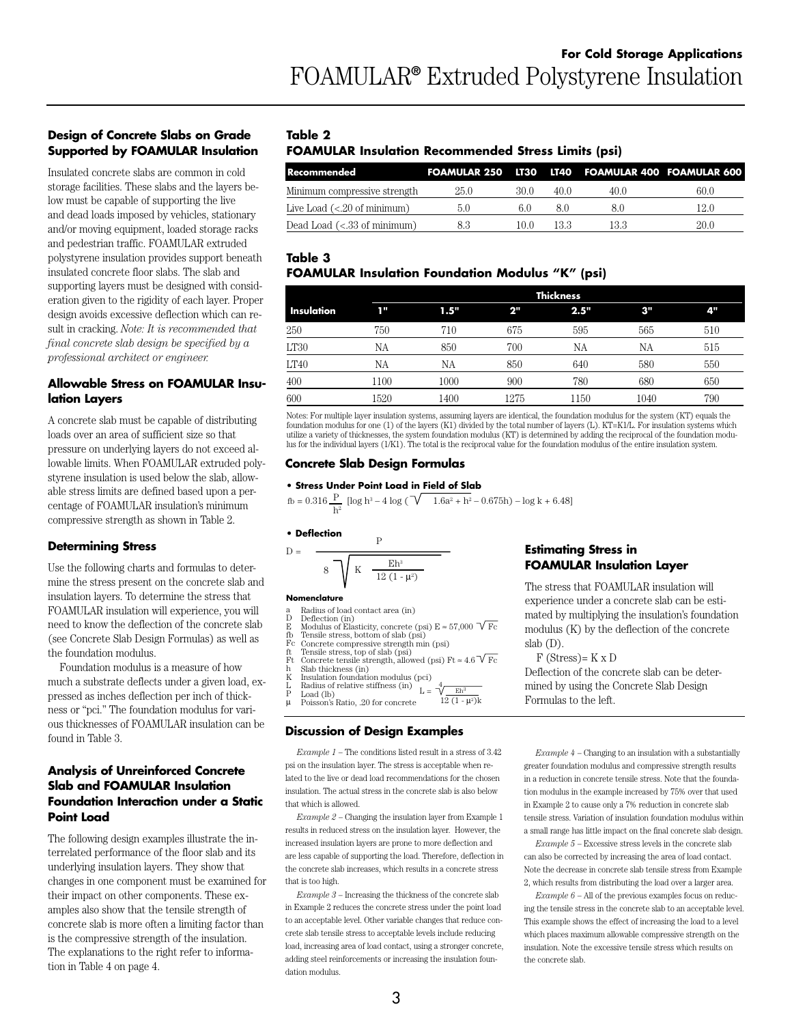# **Design of Concrete Slabs on Grade Supported by FOAMULAR Insulation**

Insulated concrete slabs are common in cold storage facilities. These slabs and the layers below must be capable of supporting the live and dead loads imposed by vehicles, stationary and/or moving equipment, loaded storage racks and pedestrian traffic. FOAMULAR extruded polystyrene insulation provides support beneath insulated concrete floor slabs. The slab and supporting layers must be designed with consideration given to the rigidity of each layer. Proper design avoids excessive deflection which can result in cracking. *Note: It is recommended that final concrete slab design be specified by a professional architect or engineer.*

#### **Allowable Stress on FOAMULAR Insulation Layers**

A concrete slab must be capable of distributing loads over an area of sufficient size so that pressure on underlying layers do not exceed allowable limits. When FOAMULAR extruded polystyrene insulation is used below the slab, allowable stress limits are defined based upon a percentage of FOAMULAR insulation's minimum compressive strength as shown in Table 2.

#### **Determining Stress**

Use the following charts and formulas to determine the stress present on the concrete slab and insulation layers. To determine the stress that FOAMULAR insulation will experience, you will need to know the deflection of the concrete slab (see Concrete Slab Design Formulas) as well as the foundation modulus.

Foundation modulus is a measure of how much a substrate deflects under a given load, expressed as inches deflection per inch of thickness or "pci." The foundation modulus for various thicknesses of FOAMULAR insulation can be found in Table 3.

# **Analysis of Unreinforced Concrete Slab and FOAMULAR Insulation Foundation Interaction under a Static Point Load**

The following design examples illustrate the interrelated performance of the floor slab and its underlying insulation layers. They show that changes in one component must be examined for their impact on other components. These examples also show that the tensile strength of concrete slab is more often a limiting factor than is the compressive strength of the insulation. The explanations to the right refer to information in Table 4 on page 4.

# **Table 2**

# **FOAMULAR Insulation Recommended Stress Limits (psi)**

| <b>Recommended</b>                                |      |      |      | FOAMULAR 250 LT30 LT40 FOAMULAR 400 FOAMULAR 600 |      |
|---------------------------------------------------|------|------|------|--------------------------------------------------|------|
| Minimum compressive strength                      | 25.0 | 30 O | 40 O | 40.0                                             | 60.0 |
| Live Load $\left( <.20 \right)$ of minimum)       | 5.0  | 60   |      |                                                  | 12.0 |
| Dead Load $\left(< .33 \text{ of minimum}\right)$ |      | 10 0 | 133  | 13.3                                             | 20.0 |

#### **Table 3 FOAMULAR Insulation Foundation Modulus "K" (psi)**

|            |      | <b>Thickness</b> |      |      |      |     |
|------------|------|------------------|------|------|------|-----|
| Insulation | 1"   | 1.5"             | 2"   | 2.5" | 3"   | 4"  |
| 250        | 750  | 710              | 675  | 595  | 565  | 510 |
| LT30       | NА   | 850              | 700  | NА   | NA   | 515 |
| LT40       | NΑ   | NА               | 850  | 640  | 580  | 550 |
| 400        | 1100 | 1000             | 900  | 780  | 680  | 650 |
| 600        | 1520 | 1400             | 1275 | 1150 | 1040 | 790 |

Notes: For multiple layer insulation systems, assuming layers are identical, the foundation modulus for the system (KT) equals the foundation modulus for one (1) of the layers (K1) divided by the total number of layers (L). KT=K1/L. For insulation systems which utilize a variety of thicknesses, the system foundation modulus (KT) is determined by adding the reciprocal of the foundation modulus for the individual layers (1/K1). The total is the reciprocal value for the foundation modulus of the entire insulation system.

#### **Concrete Slab Design Formulas**

#### **• Stress Under Point Load in Field of Slab**

 $f_0 = 0.316 \frac{P}{h^2} [\log h^3 - 4 \log (\sqrt{1.6a^2 + h^2} - 0.675h) - \log k + 6.48]$ 

#### **• Deflection**

 $D =$ 

$$
\begin{array}{c}\n\text{P} \\
\hline\n8 \text{V K} \quad \frac{\text{Eh}^3}{12 (1 - \mu^2)}\n\end{array}
$$

**Nomenclature**

- Radius of load contact area (in)
- a D E Deflection (in)
- fb Modulus of Elasticity, concrete (psi) E ≈ 57,000 Fc Tensile stress, bottom of slab (psi)
- Fc
- ft Ft Concrete compressive strength min (psi)<br>Tensile stress, top of slab (psi)<br>Concrete tensile strength, allowed (psi) Ft ≈ 4.6  $\sqrt{\text{Fc}}$
- Slab thickness (in)
- h K
- L Insulation foundation modulus (pci)<br>Radius of relative stiffness (in)<br>L =  $\sqrt{\frac{4}{E}}h^3$
- P µ Load (lb) Poisson's Ratio, .20 for concrete  $12(1 - \mu^2)k$

#### **Discussion of Design Examples**

*Example 1* – The conditions listed result in a stress of 3.42 psi on the insulation layer. The stress is acceptable when related to the live or dead load recommendations for the chosen insulation. The actual stress in the concrete slab is also below that which is allowed.

*Example 2* – Changing the insulation layer from Example 1 results in reduced stress on the insulation layer. However, the increased insulation layers are prone to more deflection and are less capable of supporting the load. Therefore, deflection in the concrete slab increases, which results in a concrete stress that is too high.

*Example 3* – Increasing the thickness of the concrete slab in Example 2 reduces the concrete stress under the point load to an acceptable level. Other variable changes that reduce concrete slab tensile stress to acceptable levels include reducing load, increasing area of load contact, using a stronger concrete, adding steel reinforcements or increasing the insulation foundation modulus.

# **Estimating Stress in FOAMULAR Insulation Layer**

The stress that FOAMULAR insulation will experience under a concrete slab can be estimated by multiplying the insulation's foundation modulus (K) by the deflection of the concrete slab (D).

 $F$  (Stress)=  $K \times D$ 

Deflection of the concrete slab can be determined by using the Concrete Slab Design Formulas to the left.

*Example 4* – Changing to an insulation with a substantially greater foundation modulus and compressive strength results in a reduction in concrete tensile stress. Note that the foundation modulus in the example increased by 75% over that used in Example 2 to cause only a 7% reduction in concrete slab tensile stress. Variation of insulation foundation modulus within a small range has little impact on the final concrete slab design.

*Example 5* – Excessive stress levels in the concrete slab can also be corrected by increasing the area of load contact. Note the decrease in concrete slab tensile stress from Example 2, which results from distributing the load over a larger area.

*Example 6* – All of the previous examples focus on reducing the tensile stress in the concrete slab to an acceptable level. This example shows the effect of increasing the load to a level which places maximum allowable compressive strength on the insulation. Note the excessive tensile stress which results on the concrete slab.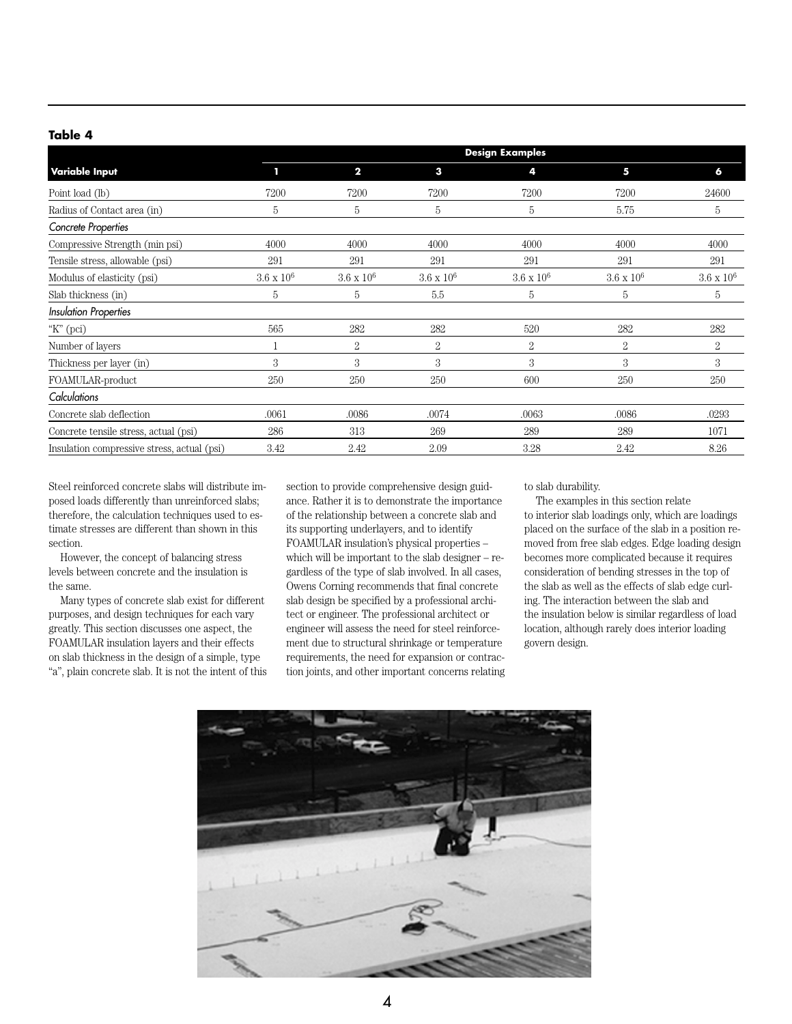#### **Table 4**

|                                             | <b>Design Examples</b> |                   |                   |                   |                   |                   |  |  |  |
|---------------------------------------------|------------------------|-------------------|-------------------|-------------------|-------------------|-------------------|--|--|--|
| <b>Variable Input</b>                       | т                      | $\mathbf{2}$      | 3                 | 4                 | 5                 | 6                 |  |  |  |
| Point load (lb)                             | 7200                   | 7200              | 7200              | 7200              | 7200              | 24600             |  |  |  |
| Radius of Contact area (in)                 | 5                      | 5                 | 5                 | 5                 | 5.75              | 5                 |  |  |  |
| Concrete Properties                         |                        |                   |                   |                   |                   |                   |  |  |  |
| Compressive Strength (min psi)              | 4000                   | 4000              | 4000              | 4000              | 4000              | 4000              |  |  |  |
| Tensile stress, allowable (psi)             | 291                    | 291               | 291               | 291               | 291               | 291               |  |  |  |
| Modulus of elasticity (psi)                 | $3.6 \times 10^6$      | $3.6 \times 10^6$ | $3.6 \times 10^6$ | $3.6 \times 10^6$ | $3.6 \times 10^6$ | $3.6 \times 10^6$ |  |  |  |
| Slab thickness (in)                         | 5                      | 5                 | 5.5               | 5                 | 5                 | 5                 |  |  |  |
| <b>Insulation Properties</b>                |                        |                   |                   |                   |                   |                   |  |  |  |
| "K" $(pci)$                                 | 565                    | 282               | 282               | 520               | 282               | 282               |  |  |  |
| Number of layers                            | 1                      | $\overline{2}$    | $\overline{2}$    | 2                 | $\overline{2}$    | 2                 |  |  |  |
| Thickness per layer (in)                    | 3                      | 3                 | 3                 | 3                 | 3                 | 3                 |  |  |  |
| FOAMULAR-product                            | 250                    | 250               | 250               | 600               | 250               | 250               |  |  |  |
| Calculations                                |                        |                   |                   |                   |                   |                   |  |  |  |
| Concrete slab deflection                    | .0061                  | .0086             | .0074             | .0063             | .0086             | .0293             |  |  |  |
| Concrete tensile stress, actual (psi)       | 286                    | 313               | 269               | 289               | 289               | 1071              |  |  |  |
| Insulation compressive stress, actual (psi) | 3.42                   | 2.42              | 2.09              | 3.28              | 2.42              | 8.26              |  |  |  |

Steel reinforced concrete slabs will distribute imposed loads differently than unreinforced slabs; therefore, the calculation techniques used to estimate stresses are different than shown in this section.

However, the concept of balancing stress levels between concrete and the insulation is the same.

Many types of concrete slab exist for different purposes, and design techniques for each vary greatly. This section discusses one aspect, the FOAMULAR insulation layers and their effects on slab thickness in the design of a simple, type "a", plain concrete slab. It is not the intent of this section to provide comprehensive design guidance. Rather it is to demonstrate the importance of the relationship between a concrete slab and its supporting underlayers, and to identify FOAMULAR insulation's physical properties – which will be important to the slab designer – regardless of the type of slab involved. In all cases, Owens Corning recommends that final concrete slab design be specified by a professional architect or engineer. The professional architect or engineer will assess the need for steel reinforcement due to structural shrinkage or temperature requirements, the need for expansion or contraction joints, and other important concerns relating to slab durability.

The examples in this section relate to interior slab loadings only, which are loadings placed on the surface of the slab in a position removed from free slab edges. Edge loading design becomes more complicated because it requires consideration of bending stresses in the top of the slab as well as the effects of slab edge curling. The interaction between the slab and the insulation below is similar regardless of load location, although rarely does interior loading govern design.

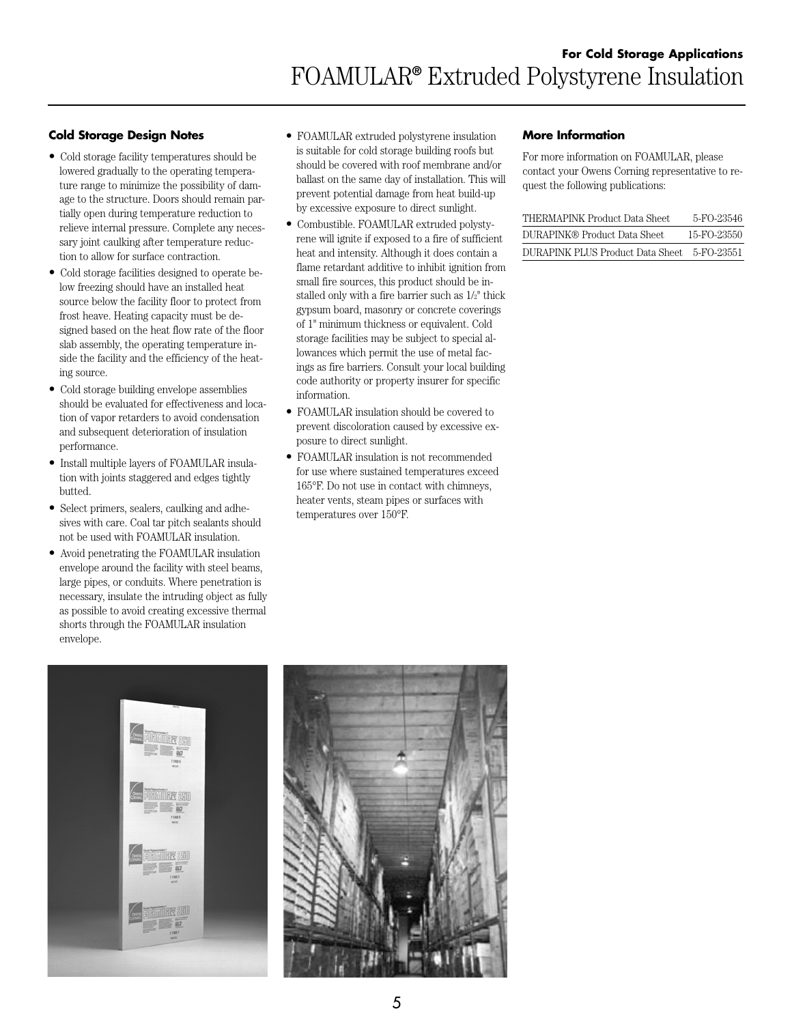# **Cold Storage Design Notes**

- Cold storage facility temperatures should be lowered gradually to the operating temperature range to minimize the possibility of damage to the structure. Doors should remain partially open during temperature reduction to relieve internal pressure. Complete any necessary joint caulking after temperature reduction to allow for surface contraction.
- Cold storage facilities designed to operate below freezing should have an installed heat source below the facility floor to protect from frost heave. Heating capacity must be designed based on the heat flow rate of the floor slab assembly, the operating temperature inside the facility and the efficiency of the heating source.
- Cold storage building envelope assemblies should be evaluated for effectiveness and location of vapor retarders to avoid condensation and subsequent deterioration of insulation performance.
- Install multiple layers of FOAMULAR insulation with joints staggered and edges tightly butted.
- Select primers, sealers, caulking and adhesives with care. Coal tar pitch sealants should not be used with FOAMULAR insulation.
- Avoid penetrating the FOAMULAR insulation envelope around the facility with steel beams, large pipes, or conduits. Where penetration is necessary, insulate the intruding object as fully as possible to avoid creating excessive thermal shorts through the FOAMULAR insulation envelope.
- FOAMULAR extruded polystyrene insulation is suitable for cold storage building roofs but should be covered with roof membrane and/or ballast on the same day of installation. This will prevent potential damage from heat build-up by excessive exposure to direct sunlight.
- Combustible. FOAMULAR extruded polystyrene will ignite if exposed to a fire of sufficient heat and intensity. Although it does contain a flame retardant additive to inhibit ignition from small fire sources, this product should be installed only with a fire barrier such as 1/2" thick gypsum board, masonry or concrete coverings of 1" minimum thickness or equivalent. Cold storage facilities may be subject to special allowances which permit the use of metal facings as fire barriers. Consult your local building code authority or property insurer for specific information.
- FOAMULAR insulation should be covered to prevent discoloration caused by excessive exposure to direct sunlight.
- FOAMULAR insulation is not recommended for use where sustained temperatures exceed 165°F. Do not use in contact with chimneys, heater vents, steam pipes or surfaces with temperatures over 150°F.

#### **More Information**

For more information on FOAMULAR, please contact your Owens Corning representative to request the following publications:

| THERMAPINK Product Data Sheet     | 5-FO-23546  |
|-----------------------------------|-------------|
| DURAPINK® Product Data Sheet.     | 15-FO-23550 |
| DURAPINK PLUS Product Data Sheet. | 5-FO-23551  |